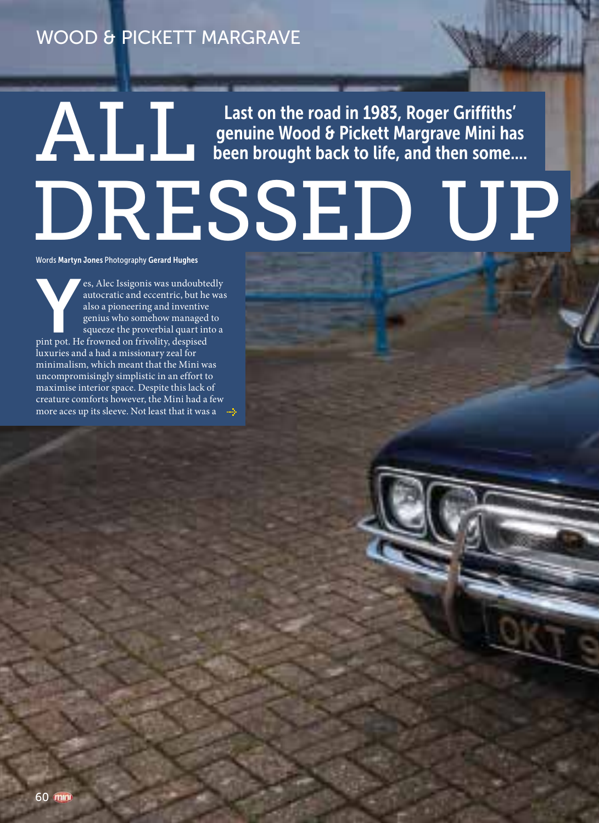**ALL Last on the road in 1983, Roger Griffiths'**<br>Journal Boen brought back to life, and then some.. genuine Wood & Pickett Margrave Mini has been brought back to life, and then some....

# DRESSED UP

Words Martyn Jones Photography Gerard Hughes

Express Alec Issigonis was undoubtedly autocratic and eccentric, but he was also a pioneering and inventive genius who somehow managed to squeeze the proverbial quart into a pint pot. He frowned on frivolity, despised autocratic and eccentric, but he was also a pioneering and inventive genius who somehow managed to squeeze the proverbial quart into a luxuries and a had a missionary zeal for minimalism, which meant that the Mini was uncompromisingly simplistic in an effort to maximise interior space. Despite this lack of creature comforts however, the Mini had a few more aces up its sleeve. Not least that it was a  $\rightarrow$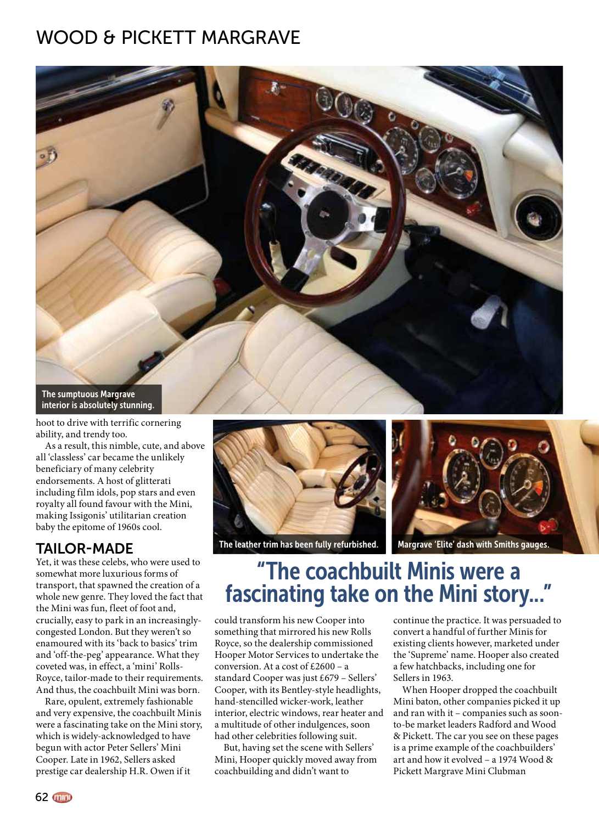

hoot to drive with terrific cornering ability, and trendy too.

As a result, this nimble, cute, and above all 'classless' car became the unlikely beneficiary of many celebrity endorsements. A host of glitterati including film idols, pop stars and even royalty all found favour with the Mini, making Issigonis' utilitarian creation baby the epitome of 1960s cool.

#### TAILOR-MADE

Yet, it was these celebs, who were used to somewhat more luxurious forms of transport, that spawned the creation of a whole new genre. They loved the fact that the Mini was fun, fleet of foot and, crucially, easy to park in an increasinglycongested London. But they weren't so enamoured with its 'back to basics' trim and 'off-the-peg' appearance. What they coveted was, in effect, a 'mini' Rolls-Royce, tailor-made to their requirements. And thus, the coachbuilt Mini was born.

Rare, opulent, extremely fashionable and very expensive, the coachbuilt Minis were a fascinating take on the Mini story, which is widely-acknowledged to have begun with actor Peter Sellers' Mini Cooper. Late in 1962, Sellers asked prestige car dealership H.R. Owen if it



The leather trim has been fully refurbished. Margrave 'Elite' dash with Smiths gauges.



#### "The coachbuilt Minis were a fascinating take on the Mini story..."

could transform his new Cooper into something that mirrored his new Rolls Royce, so the dealership commissioned Hooper Motor Services to undertake the conversion. At a cost of £2600 – a standard Cooper was just £679 – Sellers' Cooper, with its Bentley-style headlights, hand-stencilled wicker-work, leather interior, electric windows, rear heater and a multitude of other indulgences, soon had other celebrities following suit.

But, having set the scene with Sellers' Mini, Hooper quickly moved away from coachbuilding and didn't want to

continue the practice. It was persuaded to convert a handful of further Minis for existing clients however, marketed under the 'Supreme' name. Hooper also created a few hatchbacks, including one for Sellers in 1963.

When Hooper dropped the coachbuilt Mini baton, other companies picked it up and ran with it – companies such as soonto-be market leaders Radford and Wood & Pickett. The car you see on these pages is a prime example of the coachbuilders' art and how it evolved – a 1974 Wood & Pickett Margrave Mini Clubman

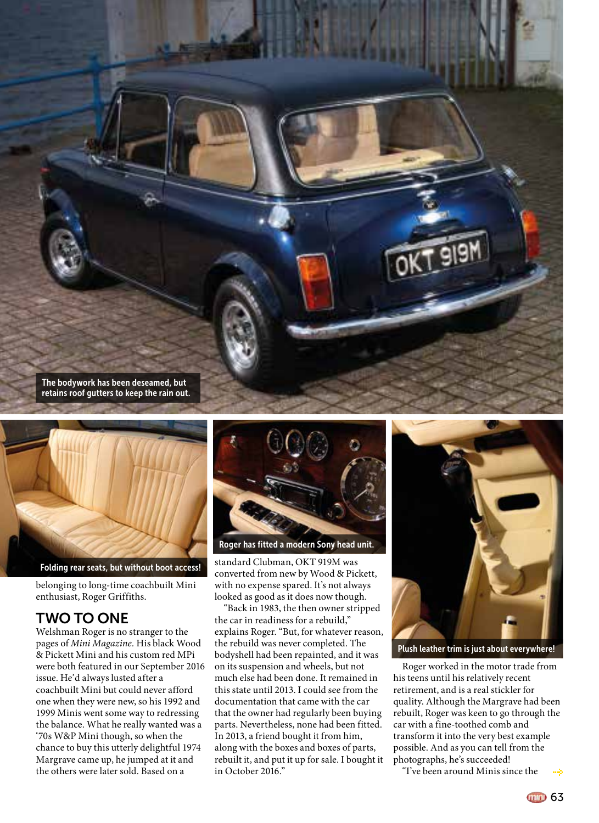



Folding rear seats, but without boot access!

belonging to long-time coachbuilt Mini enthusiast, Roger Griffiths.

#### TWO TO ONE

Welshman Roger is no stranger to the pages of *Mini Magazine.* His black Wood & Pickett Mini and his custom red MPi were both featured in our September 2016 issue. He'd always lusted after a coachbuilt Mini but could never afford one when they were new, so his 1992 and 1999 Minis went some way to redressing the balance. What he really wanted was a '70s W&P Mini though, so when the chance to buy this utterly delightful 1974 Margrave came up, he jumped at it and the others were later sold. Based on a



Roger has fitted a modern Sony head unit.

standard Clubman, OKT 919M was converted from new by Wood & Pickett, with no expense spared. It's not always looked as good as it does now though.

"Back in 1983, the then owner stripped the car in readiness for a rebuild," explains Roger. "But, for whatever reason, the rebuild was never completed. The bodyshell had been repainted, and it was on its suspension and wheels, but not much else had been done. It remained in this state until 2013. I could see from the documentation that came with the car that the owner had regularly been buying parts. Nevertheless, none had been fitted. In 2013, a friend bought it from him, along with the boxes and boxes of parts, rebuilt it, and put it up for sale. I bought it in October 2016."



Plush leather trim is just about everywhere!

Roger worked in the motor trade from his teens until his relatively recent retirement, and is a real stickler for quality. Although the Margrave had been rebuilt, Roger was keen to go through the car with a fine-toothed comb and transform it into the very best example possible. And as you can tell from the photographs, he's succeeded!

"I've been around Minis since the

mm 63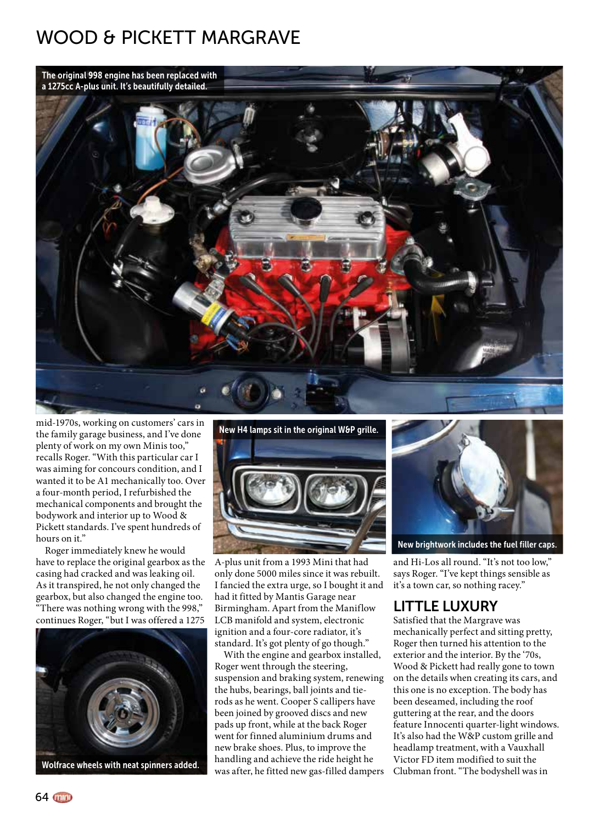

mid-1970s, working on customers' cars in the family garage business, and I've done plenty of work on my own Minis too," recalls Roger. "With this particular car I was aiming for concours condition, and I wanted it to be A1 mechanically too. Over a four-month period, I refurbished the mechanical components and brought the bodywork and interior up to Wood & Pickett standards. I've spent hundreds of hours on it."

Roger immediately knew he would have to replace the original gearbox as the casing had cracked and was leaking oil. As it transpired, he not only changed the gearbox, but also changed the engine too. "There was nothing wrong with the 998," continues Roger, "but I was offered a 1275





A-plus unit from a 1993 Mini that had only done 5000 miles since it was rebuilt. I fancied the extra urge, so I bought it and had it fitted by Mantis Garage near Birmingham. Apart from the Maniflow LCB manifold and system, electronic ignition and a four-core radiator, it's standard. It's got plenty of go though."

With the engine and gearbox installed, Roger went through the steering, suspension and braking system, renewing the hubs, bearings, ball joints and tierods as he went. Cooper S callipers have been joined by grooved discs and new pads up front, while at the back Roger went for finned aluminium drums and new brake shoes. Plus, to improve the handling and achieve the ride height he was after, he fitted new gas-filled dampers



New brightwork includes the fuel filler caps.

and Hi-Los all round. "It's not too low," says Roger. "I've kept things sensible as it's a town car, so nothing racey."

#### LITTLE LUXURY

Satisfied that the Margrave was mechanically perfect and sitting pretty, Roger then turned his attention to the exterior and the interior. By the '70s, Wood & Pickett had really gone to town on the details when creating its cars, and this one is no exception. The body has been deseamed, including the roof guttering at the rear, and the doors feature Innocenti quarter-light windows. It's also had the W&P custom grille and headlamp treatment, with a Vauxhall Victor FD item modified to suit the Clubman front. "The bodyshell was in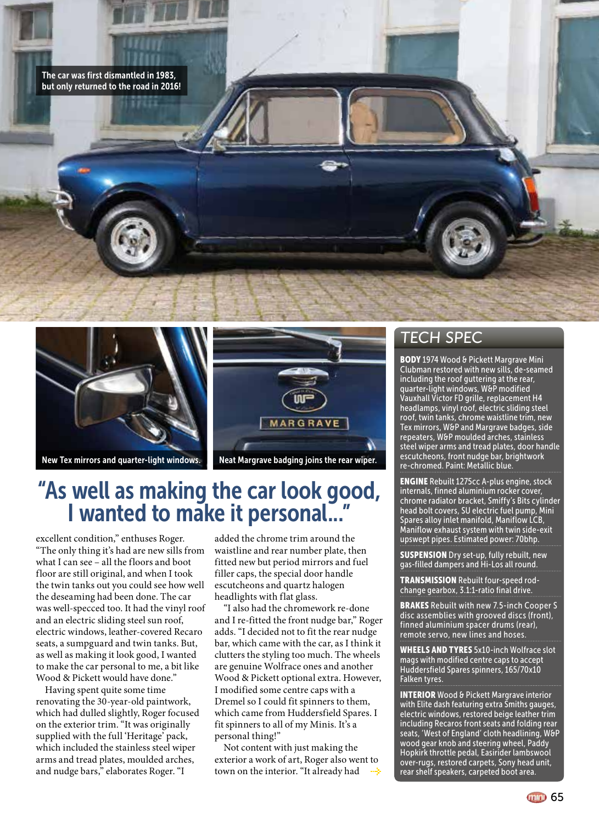



New Tex mirrors and quarter-light windows. Neat Margrave badging joins the rear wiper.



## "As well as making the car look good, I wanted to make it personal..."

excellent condition," enthuses Roger. "The only thing it's had are new sills from what I can see – all the floors and boot floor are still original, and when I took the twin tanks out you could see how well the deseaming had been done. The car was well-specced too. It had the vinyl roof and an electric sliding steel sun roof, electric windows, leather-covered Recaro seats, a sumpguard and twin tanks. But, as well as making it look good, I wanted to make the car personal to me, a bit like Wood & Pickett would have done."

Having spent quite some time renovating the 30-year-old paintwork, which had dulled slightly, Roger focused on the exterior trim. "It was originally supplied with the full 'Heritage' pack, which included the stainless steel wiper arms and tread plates, moulded arches, and nudge bars," elaborates Roger. "I

added the chrome trim around the waistline and rear number plate, then fitted new but period mirrors and fuel filler caps, the special door handle escutcheons and quartz halogen headlights with flat glass.

"I also had the chromework re-done and I re-fitted the front nudge bar," Roger adds. "I decided not to fit the rear nudge bar, which came with the car, as I think it clutters the styling too much. The wheels are genuine Wolfrace ones and another Wood & Pickett optional extra. However, I modified some centre caps with a Dremel so I could fit spinners to them, which came from Huddersfield Spares. I fit spinners to all of my Minis. It's a personal thing!"

Not content with just making the exterior a work of art, Roger also went to town on the interior. "It already had

#### TECH SPEC

BODY 1974 Wood & Pickett Margrave Mini Clubman restored with new sills, de-seamed including the roof guttering at the rear, quarter-light windows, W&P modified Vauxhall Victor FD grille, replacement H4 headlamps, vinyl roof, electric sliding steel roof, twin tanks, chrome waistline trim, new Tex mirrors, W&P and Margrave badges, side repeaters, W&P moulded arches, stainless steel wiper arms and tread plates, door handle escutcheons, front nudge bar, brightwork re-chromed. Paint: Metallic blue.

ENGINE Rebuilt 1275cc A-plus engine, stock internals, finned aluminium rocker cover, chrome radiator bracket, Smiffy's Bits cylinder head bolt covers, SU electric fuel pump, Mini Spares alloy inlet manifold, Maniflow LCB, Maniflow exhaust system with twin side-exit upswept pipes. Estimated power: 70bhp.

**SUSPENSION** Dry set-up, fully rebuilt, new gas-filled dampers and Hi-Los all round.

TRANSMISSION Rebuilt four-speed rodchange gearbox, 3.1:1-ratio final drive.

**BRAKES** Rebuilt with new 7.5-inch Cooper S disc assemblies with grooved discs (front), finned aluminium spacer drums (rear), remote servo, new lines and hoses.

WHEELS AND TYRES 5x10-inch Wolfrace slot mags with modified centre caps to accept Huddersfield Spares spinners, 165/70x10 Falken tyres.

INTERIOR Wood & Pickett Margrave interior with Elite dash featuring extra Smiths gauges, electric windows, restored beige leather trim including Recaros front seats and folding rear seats, 'West of England' cloth headlining, W&P wood gear knob and steering wheel, Paddy Hopkirk throttle pedal, Easirider lambswool over-rugs, restored carpets, Sony head unit, rear shelf speakers, carpeted boot area.